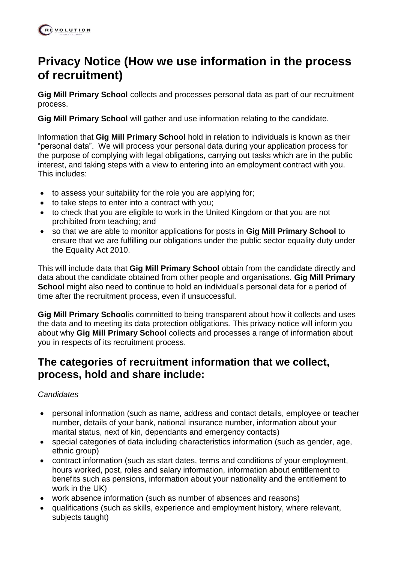# **Privacy Notice (How we use information in the process of recruitment)**

**Gig Mill Primary School** collects and processes personal data as part of our recruitment process.

**Gig Mill Primary School** will gather and use information relating to the candidate.

Information that **Gig Mill Primary School** hold in relation to individuals is known as their "personal data". We will process your personal data during your application process for the purpose of complying with legal obligations, carrying out tasks which are in the public interest, and taking steps with a view to entering into an employment contract with you. This includes:

- to assess your suitability for the role you are applying for;
- to take steps to enter into a contract with you;
- to check that you are eligible to work in the United Kingdom or that you are not prohibited from teaching; and
- so that we are able to monitor applications for posts in **Gig Mill Primary School** to ensure that we are fulfilling our obligations under the public sector equality duty under the Equality Act 2010.

This will include data that **Gig Mill Primary School** obtain from the candidate directly and data about the candidate obtained from other people and organisations. **Gig Mill Primary School** might also need to continue to hold an individual's personal data for a period of time after the recruitment process, even if unsuccessful.

**Gig Mill Primary School**is committed to being transparent about how it collects and uses the data and to meeting its data protection obligations. This privacy notice will inform you about why **Gig Mill Primary School** collects and processes a range of information about you in respects of its recruitment process.

### **The categories of recruitment information that we collect, process, hold and share include:**

#### *Candidates*

- personal information (such as name, address and contact details, employee or teacher number, details of your bank, national insurance number, information about your marital status, next of kin, dependants and emergency contacts)
- special categories of data including characteristics information (such as gender, age, ethnic group)
- contract information (such as start dates, terms and conditions of your employment, hours worked, post, roles and salary information, information about entitlement to benefits such as pensions, information about your nationality and the entitlement to work in the UK)
- work absence information (such as number of absences and reasons)
- qualifications (such as skills, experience and employment history, where relevant, subjects taught)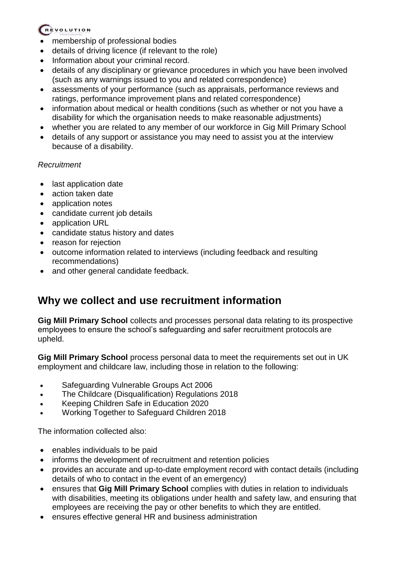#### REVOLUTION

- membership of professional bodies
- details of driving licence (if relevant to the role)
- Information about your criminal record.
- details of any disciplinary or grievance procedures in which you have been involved (such as any warnings issued to you and related correspondence)
- assessments of your performance (such as appraisals, performance reviews and ratings, performance improvement plans and related correspondence)
- information about medical or health conditions (such as whether or not you have a disability for which the organisation needs to make reasonable adjustments)
- whether you are related to any member of our workforce in Gig Mill Primary School
- details of any support or assistance you may need to assist you at the interview because of a disability.

#### *Recruitment*

- last application date
- action taken date
- application notes
- candidate current job details
- application URL
- candidate status history and dates
- reason for rejection
- outcome information related to interviews (including feedback and resulting recommendations)
- and other general candidate feedback.

## **Why we collect and use recruitment information**

**Gig Mill Primary School** collects and processes personal data relating to its prospective employees to ensure the school's safeguarding and safer recruitment protocols are upheld.

**Gig Mill Primary School** process personal data to meet the requirements set out in UK employment and childcare law, including those in relation to the following:

- Safeguarding Vulnerable Groups Act 2006
- The Childcare (Disqualification) Regulations 2018
- Keeping Children Safe in Education 2020
- Working Together to Safeguard Children 2018

The information collected also:

- enables individuals to be paid
- informs the development of recruitment and retention policies
- provides an accurate and up-to-date employment record with contact details (including details of who to contact in the event of an emergency)
- ensures that **Gig Mill Primary School** complies with duties in relation to individuals with disabilities, meeting its obligations under health and safety law, and ensuring that employees are receiving the pay or other benefits to which they are entitled.
- ensures effective general HR and business administration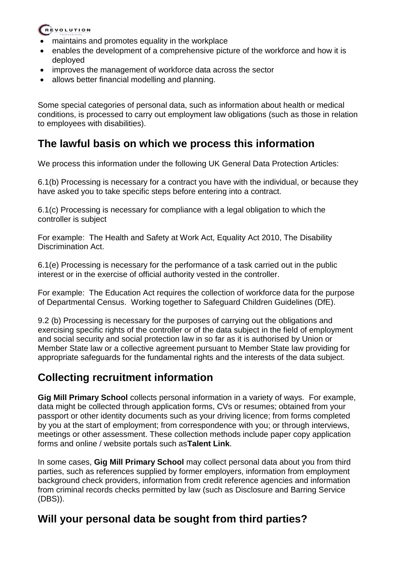#### REVOLUTION

- maintains and promotes equality in the workplace
- enables the development of a comprehensive picture of the workforce and how it is deployed
- improves the management of workforce data across the sector
- allows better financial modelling and planning.

Some special categories of personal data, such as information about health or medical conditions, is processed to carry out employment law obligations (such as those in relation to employees with disabilities).

## **The lawful basis on which we process this information**

We process this information under the following UK General Data Protection Articles:

6.1(b) Processing is necessary for a contract you have with the individual, or because they have asked you to take specific steps before entering into a contract.

6.1(c) Processing is necessary for compliance with a legal obligation to which the controller is subject

For example: The Health and Safety at Work Act, Equality Act 2010, The Disability Discrimination Act.

6.1(e) Processing is necessary for the performance of a task carried out in the public interest or in the exercise of official authority vested in the controller.

For example: The Education Act requires the collection of workforce data for the purpose of Departmental Census. Working together to Safeguard Children Guidelines (DfE).

9.2 (b) Processing is necessary for the purposes of carrying out the obligations and exercising specific rights of the controller or of the data subject in the field of employment and social security and social protection law in so far as it is authorised by Union or Member State law or a collective agreement pursuant to Member State law providing for appropriate safeguards for the fundamental rights and the interests of the data subject.

## **Collecting recruitment information**

**Gig Mill Primary School** collects personal information in a variety of ways. For example, data might be collected through application forms, CVs or resumes; obtained from your passport or other identity documents such as your driving licence; from forms completed by you at the start of employment; from correspondence with you; or through interviews, meetings or other assessment. These collection methods include paper copy application forms and online / website portals such as**Talent Link**.

In some cases, **Gig Mill Primary School** may collect personal data about you from third parties, such as references supplied by former employers, information from employment background check providers, information from credit reference agencies and information from criminal records checks permitted by law (such as Disclosure and Barring Service (DBS)).

## **Will your personal data be sought from third parties?**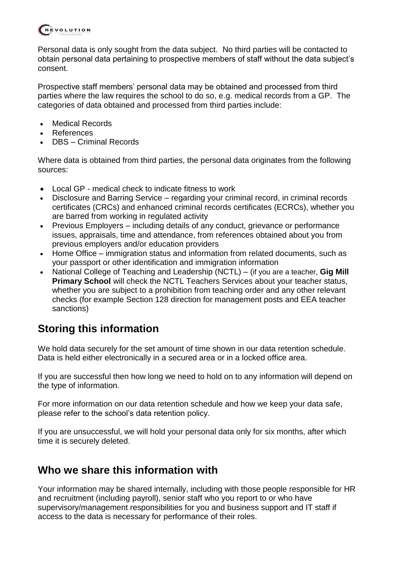

Personal data is only sought from the data subject. No third parties will be contacted to obtain personal data pertaining to prospective members of staff without the data subject's consent.

Prospective staff members' personal data may be obtained and processed from third parties where the law requires the school to do so, e.g. medical records from a GP. The categories of data obtained and processed from third parties include:

- Medical Records
- **References**
- DBS Criminal Records

Where data is obtained from third parties, the personal data originates from the following sources:

- Local GP medical check to indicate fitness to work
- Disclosure and Barring Service regarding your criminal record, in criminal records certificates (CRCs) and enhanced criminal records certificates (ECRCs), whether you are barred from working in regulated activity
- Previous Employers including details of any conduct, grievance or performance issues, appraisals, time and attendance, from references obtained about you from previous employers and/or education providers
- Home Office immigration status and information from related documents, such as your passport or other identification and immigration information
- National College of Teaching and Leadership (NCTL) (if you are a teacher, **Gig Mill Primary School** will check the NCTL Teachers Services about your teacher status, whether you are subject to a prohibition from teaching order and any other relevant checks (for example Section 128 direction for management posts and EEA teacher sanctions)

## **Storing this information**

We hold data securely for the set amount of time shown in our data retention schedule. Data is held either electronically in a secured area or in a locked office area.

If you are successful then how long we need to hold on to any information will depend on the type of information.

For more information on our data retention schedule and how we keep your data safe, please refer to the school's data retention policy.

If you are unsuccessful, we will hold your personal data only for six months, after which time it is securely deleted.

## **Who we share this information with**

Your information may be shared internally, including with those people responsible for HR and recruitment (including payroll), senior staff who you report to or who have supervisory/management responsibilities for you and business support and IT staff if access to the data is necessary for performance of their roles.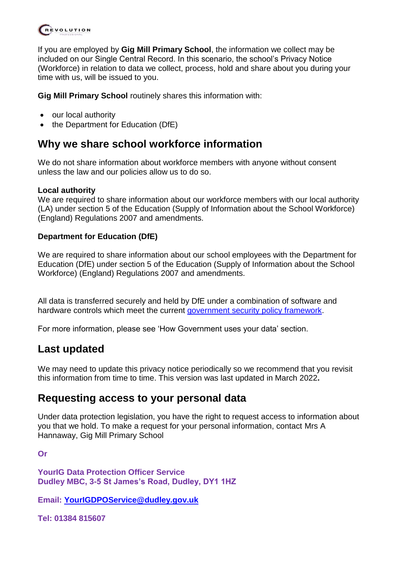

If you are employed by **Gig Mill Primary School**, the information we collect may be included on our Single Central Record. In this scenario, the school's Privacy Notice (Workforce) in relation to data we collect, process, hold and share about you during your time with us, will be issued to you.

**Gig Mill Primary School** routinely shares this information with:

- our local authority
- the Department for Education (DfE)

#### **Why we share school workforce information**

We do not share information about workforce members with anyone without consent unless the law and our policies allow us to do so.

#### **Local authority**

We are required to share information about our workforce members with our local authority (LA) under section 5 of the Education (Supply of Information about the School Workforce) (England) Regulations 2007 and amendments.

#### **Department for Education (DfE)**

We are required to share information about our school employees with the Department for Education (DfE) under section 5 of the Education (Supply of Information about the School Workforce) (England) Regulations 2007 and amendments.

All data is transferred securely and held by DfE under a combination of software and hardware controls which meet the current [government security policy framework.](https://www.gov.uk/government/publications/security-policy-framework)

For more information, please see 'How Government uses your data' section.

### **Last updated**

We may need to update this privacy notice periodically so we recommend that you revisit this information from time to time. This version was last updated in March 2022**.**

#### **Requesting access to your personal data**

Under data protection legislation, you have the right to request access to information about you that we hold. To make a request for your personal information, contact Mrs A Hannaway, Gig Mill Primary School

**Or** 

**YourIG Data Protection Officer Service Dudley MBC, 3-5 St James's Road, Dudley, DY1 1HZ**

**Email: [YourIGDPOService@dudley.gov.uk](mailto:YourIGDPOService@dudley.gov.uk)** 

**Tel: 01384 815607**